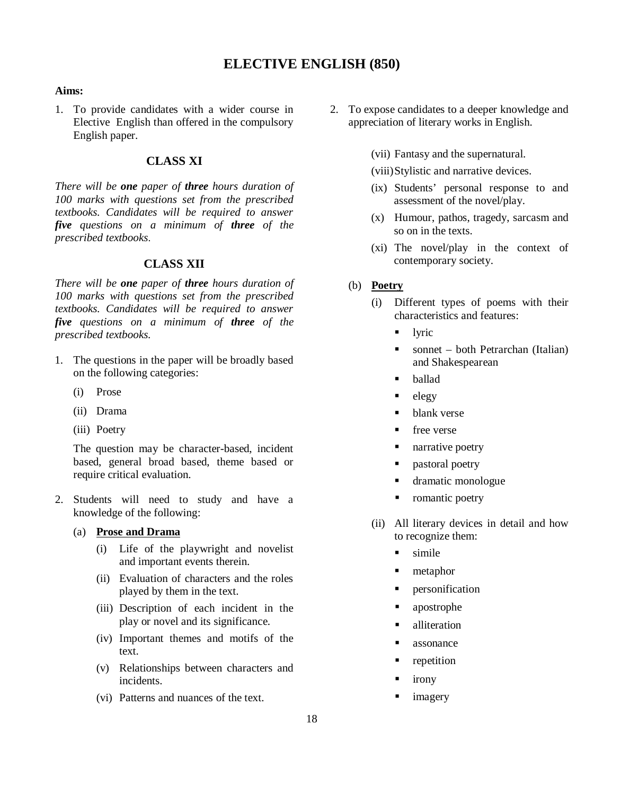## **ELECTIVE ENGLISH (850)**

## **Aims:**

1. To provide candidates with a wider course in Elective English than offered in the compulsory English paper.

## **CLASS XI**

*There will be one paper of three hours duration of 100 marks with questions set from the prescribed textbooks. Candidates will be required to answer five questions on a minimum of three of the prescribed textbooks*.

## **CLASS XII**

*There will be one paper of three hours duration of 100 marks with questions set from the prescribed textbooks. Candidates will be required to answer five questions on a minimum of three of the prescribed textbooks.*

- 1. The questions in the paper will be broadly based on the following categories:
	- (i) Prose
	- (ii) Drama
	- (iii) Poetry

The question may be character-based, incident based, general broad based, theme based or require critical evaluation.

- 2. Students will need to study and have a knowledge of the following:
	- (a) **Prose and Drama**
		- (i) Life of the playwright and novelist and important events therein.
		- (ii) Evaluation of characters and the roles played by them in the text.
		- (iii) Description of each incident in the play or novel and its significance.
		- (iv) Important themes and motifs of the text.
		- (v) Relationships between characters and incidents.
		- (vi) Patterns and nuances of the text.
- 2. To expose candidates to a deeper knowledge and appreciation of literary works in English.
	- (vii) Fantasy and the supernatural.
	- (viii)Stylistic and narrative devices.
	- (ix) Students' personal response to and assessment of the novel/play.
	- (x) Humour, pathos, tragedy, sarcasm and so on in the texts.
	- (xi) The novel/play in the context of contemporary society.
	- (b) **Poetry**
		- (i) Different types of poems with their characteristics and features:
			- lyric
			- $\blacksquare$  sonnet both Petrarchan (Italian) and Shakespearean
			- ballad
			- $^{-}$  elegy
			- blank verse
			- free verse
			- **narrative poetry**
			- **pastoral poetry**
			- dramatic monologue
			- romantic poetry
		- (ii) All literary devices in detail and how to recognize them:
			- simile
			- **netaphor**
			- personification
			- apostrophe
			- alliteration
			- **assonance**
			- repetition
			- irony
			- imagery